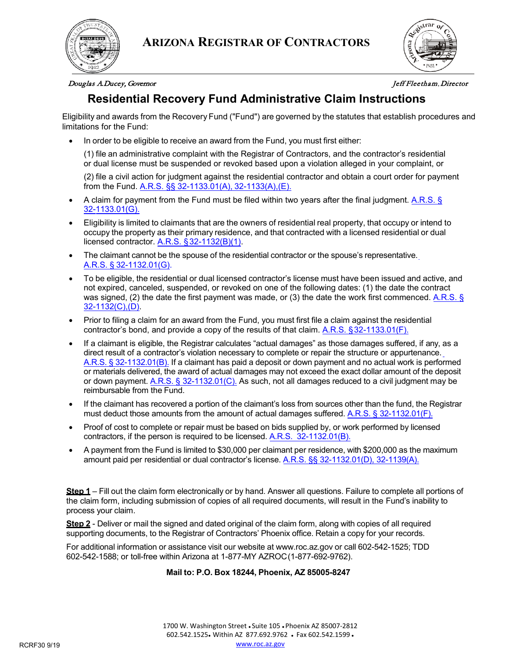



## Douglas A. Ducey, Governor Jeff Fleetham, Director

<span id="page-0-0"></span>

# **Residential Recovery Fund Administrative Claim Instructions**

Eligibility and awards from the Recovery Fund ("Fund") are governed by the statutes that establish procedures and limitations for the Fund:

• In order to be eligible to receive an award from the Fund, you must first either:

(1) file an administrative complaint with the Registrar of Contractors, and the contractor's residential or dual license must be suspended or revoked based upon a violation alleged in your complaint, or

(2) file a civil action for judgment against the residential contractor and obtain a court order for payment from the Fund. A.R.S. §§ 32-1133.01(A), 32-1133(A),(E).

- A claim for payment from the Fund must be filed within two years after the final judgment. A.R.S. § 32-1133.01(G).
- Eligibility is limited to claimants that are the owners of residential real property, that occupy or intend to occupy the property as their primary residence, and that contracted with a licensed residential or dual licensed contractor. A.R.S. §32-1132(B)(1).
- The claimant cannot be the spouse of the residential contractor or the spouse's representative. A.R.S. § 32-1132.01(G).
- To be eligible, the residential or dual licensed contractor's license must have been issued and active, and not expired, canceled, suspended, or revoked on one of the following dates: (1) the date the contract was signed, (2) the date the first payment was made, or (3) the date the work first commenced. A.R.S. § 32-1132(C),(D).
- Prior to filing a claim for an award from the Fund, you must first file a claim against the residential contractor's bond, and provide a copy of the results of that claim. A.R.S. §32-1133.01(F).
- If a claimant is eligible, the Registrar calculates "actual damages" as those damages suffered, if any, as a direct result of a contractor's violation necessary to complete or repair the structure or appurtenance. A.R.S. [§ 32-1132.01\(B\).](#page-0-0) If a claimant has paid a deposit or down payment and no actual work is performed or materials delivered, the award of actual damages may not exceed the exact dollar amount of the deposit or down payment. [A.R.S. § 32-1132.01\(C\).](#page-0-0) As such, not all damages reduced to a civil judgment may be reimbursable from the Fund.
- If the claimant has recovered a portion of the claimant's loss from sources other than the fund, the Registrar must deduct those amounts from the amount of actual damages suffered. A.R.S. § 32-1132.01(F).
- Proof of cost to complete or repair must be based on bids supplied by, or work performed by licensed contractors, if the person is required to be licensed. A.R.S. 32-1132.01(B).
- A payment from the Fund is limited to \$30,000 per claimant per residence, with \$200,000 as the maximum amount paid per residential or dual contractor's license. A.R.S. §§ 32-1132.01(D), 32-1139(A).

**Step 1** – Fill out the claim form electronically or by hand. Answer all questions. Failure to complete all portions of the claim form, including submission of copies of all required documents, will result in the Fund's inability to process your claim.

**Step 2** - Deliver or mail the signed and dated original of the claim form, along with copies of all required supporting documents, to the Registrar of Contractors' Phoenix office. Retain a copy for your records.

For additional information or assistance visit our website at [www.roc.az.gov](http://www.roc.az.gov/) or call 602-542-1525; TDD 602-542-1588; or toll-free within Arizona at 1-877-MY AZROC(1-877-692-9762).

## **Mail to: P.O. Box 18244, Phoenix, AZ 85005-8247**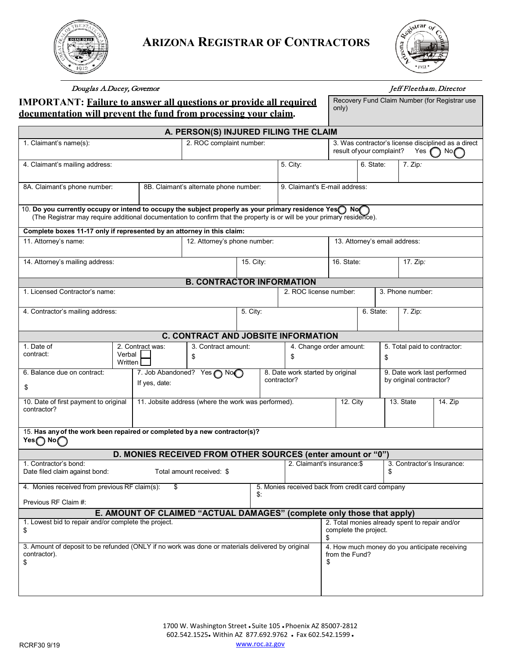



# **IMPORTANT: Failure to answer all questions or provide all required documentation will prevent the fund from processing your claim.**

Douglas A. Ducey, Governor Jeff Fleetham, Director

Recovery Fund Claim Number (for Registrar use

only)

| <u>documentation will prevent the fund from processing your claim.</u>                                                                                                                                                           |                   |                                               |                                                                        |                                                     |                                                         |                                                                               |                                                                                                                |                               |                                                        |                              |          |  |
|----------------------------------------------------------------------------------------------------------------------------------------------------------------------------------------------------------------------------------|-------------------|-----------------------------------------------|------------------------------------------------------------------------|-----------------------------------------------------|---------------------------------------------------------|-------------------------------------------------------------------------------|----------------------------------------------------------------------------------------------------------------|-------------------------------|--------------------------------------------------------|------------------------------|----------|--|
|                                                                                                                                                                                                                                  |                   |                                               | A. PERSON(S) INJURED FILING THE CLAIM                                  |                                                     |                                                         |                                                                               |                                                                                                                |                               |                                                        |                              |          |  |
| 1. Claimant's name(s):<br>2. ROC complaint number:                                                                                                                                                                               |                   |                                               |                                                                        |                                                     |                                                         |                                                                               | 3. Was contractor's license disciplined as a direct<br>result of your complaint?<br>Yes $\bigcap$ No $\bigcap$ |                               |                                                        |                              |          |  |
| 4. Claimant's mailing address:                                                                                                                                                                                                   |                   |                                               |                                                                        | 5. City:                                            | 6. State:                                               |                                                                               |                                                                                                                | $7.$ Zip:                     |                                                        |                              |          |  |
| 8A. Claimant's phone number:                                                                                                                                                                                                     |                   |                                               | 8B. Claimant's alternate phone number:                                 | 9. Claimant's E-mail address:                       |                                                         |                                                                               |                                                                                                                |                               |                                                        |                              |          |  |
| 10. Do you currently occupy or intend to occupy the subject properly as your primary residence Yes No<br>(The Registrar may require additional documentation to confirm that the property is or will be your primary residence). |                   |                                               |                                                                        |                                                     |                                                         |                                                                               |                                                                                                                |                               |                                                        |                              |          |  |
| Complete boxes 11-17 only if represented by an attorney in this claim:                                                                                                                                                           |                   |                                               |                                                                        |                                                     |                                                         |                                                                               |                                                                                                                |                               |                                                        |                              |          |  |
| 11. Attorney's name:                                                                                                                                                                                                             |                   |                                               |                                                                        | 12. Attorney's phone number:                        |                                                         |                                                                               | 13. Attorney's email address:                                                                                  |                               |                                                        |                              |          |  |
| 14. Attorney's mailing address:                                                                                                                                                                                                  |                   |                                               | 15. City:                                                              |                                                     |                                                         |                                                                               | 16. State:                                                                                                     |                               |                                                        |                              | 17. Zip: |  |
|                                                                                                                                                                                                                                  |                   |                                               | <b>B. CONTRACTOR INFORMATION</b>                                       |                                                     |                                                         |                                                                               |                                                                                                                |                               |                                                        |                              |          |  |
| 1. Licensed Contractor's name:                                                                                                                                                                                                   |                   |                                               |                                                                        |                                                     |                                                         | 2. ROC license number:                                                        |                                                                                                                |                               |                                                        | 3. Phone number:             |          |  |
| 4. Contractor's mailing address:                                                                                                                                                                                                 |                   |                                               |                                                                        |                                                     | 5. City:                                                |                                                                               |                                                                                                                | 6. State:                     |                                                        | 7. Zip:                      |          |  |
|                                                                                                                                                                                                                                  |                   |                                               | <b>C. CONTRACT AND JOBSITE INFORMATION</b>                             |                                                     |                                                         |                                                                               |                                                                                                                |                               |                                                        |                              |          |  |
| 1. Date of<br>contract:                                                                                                                                                                                                          | Verbal<br>Written | 2. Contract was:<br>3. Contract amount:<br>\$ |                                                                        |                                                     | \$                                                      |                                                                               |                                                                                                                | 4. Change order amount:<br>\$ |                                                        | 5. Total paid to contractor: |          |  |
| 6. Balance due on contract:<br>\$                                                                                                                                                                                                |                   | 7. Job Abandoned? Yes no<br>If yes, date:     |                                                                        |                                                     | 8. Date work started by original<br>contractor?         |                                                                               |                                                                                                                |                               | 9. Date work last performed<br>by original contractor? |                              |          |  |
| 10. Date of first payment to original<br>contractor?                                                                                                                                                                             |                   |                                               |                                                                        | 11. Jobsite address (where the work was performed). |                                                         |                                                                               | 12. City                                                                                                       |                               |                                                        | 13. State                    | 14. Zip  |  |
| 15. Has any of the work been repaired or completed by a new contractor(s)?<br>Yes $\bigcap$ No $\bigcap$                                                                                                                         |                   |                                               |                                                                        |                                                     |                                                         |                                                                               |                                                                                                                |                               |                                                        |                              |          |  |
|                                                                                                                                                                                                                                  |                   |                                               | D. MONIES RECEIVED FROM OTHER SOURCES (enter amount or "0")            |                                                     |                                                         |                                                                               |                                                                                                                |                               |                                                        |                              |          |  |
| 1. Contractor's bond:<br>Date filed claim against bond:<br>Total amount received: \$                                                                                                                                             |                   |                                               |                                                                        |                                                     |                                                         |                                                                               | 2. Claimant's insurance:\$                                                                                     |                               | \$                                                     | 3. Contractor's Insurance:   |          |  |
| 4. Monies received from previous RF claim(s):                                                                                                                                                                                    |                   |                                               |                                                                        |                                                     | 5. Monies received back from credit card company<br>\$. |                                                                               |                                                                                                                |                               |                                                        |                              |          |  |
| Previous RF Claim #:                                                                                                                                                                                                             |                   |                                               |                                                                        |                                                     |                                                         |                                                                               |                                                                                                                |                               |                                                        |                              |          |  |
|                                                                                                                                                                                                                                  |                   |                                               | E. AMOUNT OF CLAIMED "ACTUAL DAMAGES" (complete only those that apply) |                                                     |                                                         |                                                                               |                                                                                                                |                               |                                                        |                              |          |  |
| 1. Lowest bid to repair and/or complete the project.<br>\$                                                                                                                                                                       |                   |                                               |                                                                        |                                                     |                                                         | 2. Total monies already spent to repair and/or<br>complete the project.<br>\$ |                                                                                                                |                               |                                                        |                              |          |  |
| 3. Amount of deposit to be refunded (ONLY if no work was done or materials delivered by original<br>contractor).<br>\$                                                                                                           |                   |                                               |                                                                        |                                                     |                                                         |                                                                               | 4. How much money do you anticipate receiving<br>from the Fund?<br>\$                                          |                               |                                                        |                              |          |  |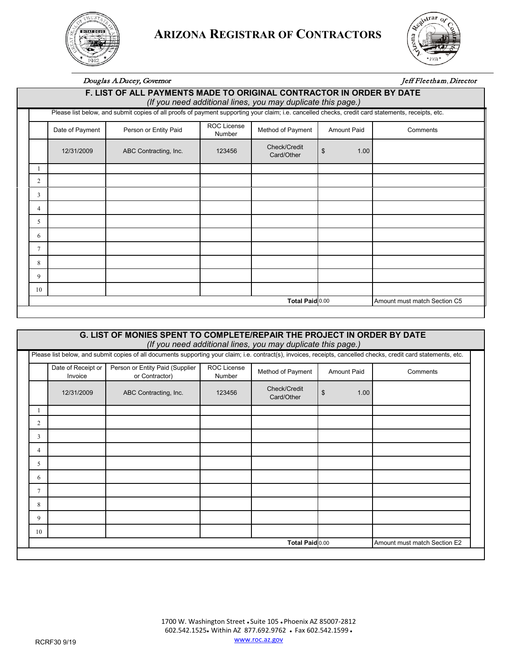

# **ARIZONA REGISTRAR OF CONTRACTORS**



# Douglas A. Ducey, Governor Jeff Fleetham, Director

|                                                                                                                                                    | F. LIST OF ALL PAYMENTS MADE TO ORIGINAL CONTRACTOR IN ORDER BY DATE<br>(If you need additional lines, you may duplicate this page.) |                       |                              |                            |                    |          |  |  |
|----------------------------------------------------------------------------------------------------------------------------------------------------|--------------------------------------------------------------------------------------------------------------------------------------|-----------------------|------------------------------|----------------------------|--------------------|----------|--|--|
| Please list below, and submit copies of all proofs of payment supporting your claim; i.e. cancelled checks, credit card statements, receipts, etc. |                                                                                                                                      |                       |                              |                            |                    |          |  |  |
|                                                                                                                                                    | Date of Payment                                                                                                                      | Person or Entity Paid | ROC License<br><b>Number</b> | Method of Payment          | <b>Amount Paid</b> | Comments |  |  |
|                                                                                                                                                    | 12/31/2009                                                                                                                           | ABC Contracting, Inc. | 123456                       | Check/Credit<br>Card/Other | \$<br>1.00         |          |  |  |
|                                                                                                                                                    |                                                                                                                                      |                       |                              |                            |                    |          |  |  |
| $\overline{c}$                                                                                                                                     |                                                                                                                                      |                       |                              |                            |                    |          |  |  |
| 3                                                                                                                                                  |                                                                                                                                      |                       |                              |                            |                    |          |  |  |
| 4                                                                                                                                                  |                                                                                                                                      |                       |                              |                            |                    |          |  |  |
| 5                                                                                                                                                  |                                                                                                                                      |                       |                              |                            |                    |          |  |  |
| 6                                                                                                                                                  |                                                                                                                                      |                       |                              |                            |                    |          |  |  |
| $\tau$                                                                                                                                             |                                                                                                                                      |                       |                              |                            |                    |          |  |  |
| 8                                                                                                                                                  |                                                                                                                                      |                       |                              |                            |                    |          |  |  |
| 9                                                                                                                                                  |                                                                                                                                      |                       |                              |                            |                    |          |  |  |
| 10                                                                                                                                                 |                                                                                                                                      |                       |                              |                            |                    |          |  |  |
|                                                                                                                                                    | Total Paid 0.00<br>Amount must match Section C5                                                                                      |                       |                              |                            |                    |          |  |  |

### **G. LIST OF MONIES SPENT TO COMPLETE/REPAIR THE PROJECT IN ORDER BY DATE** *(If you need additional lines, you may duplicate this page.)*

|                | Date of Receipt or<br>Invoice | Person or Entity Paid (Supplier<br>or Contractor) | ROC License<br>Number | Method of Payment          | <b>Amount Paid</b> | Comments                     |
|----------------|-------------------------------|---------------------------------------------------|-----------------------|----------------------------|--------------------|------------------------------|
|                | 12/31/2009                    | ABC Contracting, Inc.                             | 123456                | Check/Credit<br>Card/Other | \$<br>1.00         |                              |
| J.             |                               |                                                   |                       |                            |                    |                              |
| $\overline{2}$ |                               |                                                   |                       |                            |                    |                              |
| 3              |                               |                                                   |                       |                            |                    |                              |
| 4              |                               |                                                   |                       |                            |                    |                              |
| 5              |                               |                                                   |                       |                            |                    |                              |
| 6              |                               |                                                   |                       |                            |                    |                              |
| 7              |                               |                                                   |                       |                            |                    |                              |
| 8              |                               |                                                   |                       |                            |                    |                              |
| 9              |                               |                                                   |                       |                            |                    |                              |
| 10             |                               |                                                   |                       |                            |                    |                              |
|                |                               |                                                   |                       | Total Paid 0.00            |                    | Amount must match Section E2 |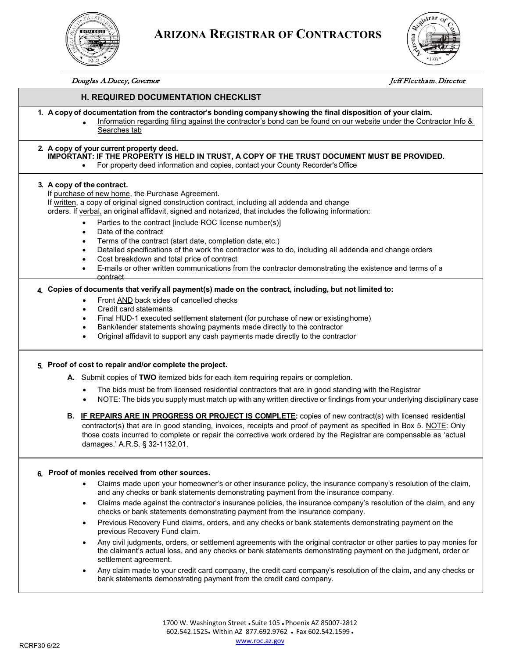

# **ARIZONA REGISTRAR OF CONTRACTORS**



#### Douglas A. Ducey, Governor Jeff Fleetham, Director

### **H. REQUIRED DOCUMENTATION CHECKLIST**

- **1. A copy of documentation from the contractor's bonding companyshowing the final disposition of your claim.**
	- Information regarding filing against the contractor's bond can be found on our website under the Contractor Info & Searches tab

#### **2. A copy of your current property deed. IMPORTANT: IF THE PROPERTY IS HELD IN TRUST, A COPY OF THE TRUST DOCUMENT MUST BE PROVIDED.**

• For property deed information and copies, contact your County Recorder'sOffice

#### **3. A copy of the contract.**

If purchase of new home, the Purchase Agreement.

If written, a copy of original signed construction contract, including all addenda and change

orders. If verbal, an original affidavit, signed and notarized, that includes the following information:

- Parties to the contract [include ROC license number(s)]
- Date of the contract
- Terms of the contract (start date, completion date, etc.)
- Detailed specifications of the work the contractor was to do, including all addenda and change orders
- Cost breakdown and total price of contract
- E-mails or other written communications from the contractor demonstrating the existence and terms of a contract

#### **4. Copies of documents that verify all payment(s) made on the contract, including, but not limited to:**

- Front AND back sides of cancelled checks
- Credit card statements
- Final HUD-1 executed settlement statement (for purchase of new or existinghome)
- Bank/lender statements showing payments made directly to the contractor
- Original affidavit to support any cash payments made directly to the contractor

#### **5. Proof of cost to repair and/or complete the project.**

- **A.** Submit copies of **TWO** itemized bids for each item requiring repairs or completion.
	- The bids must be from licensed residential contractors that are in good standing with the Registrar
	- NOTE: The bids you supply must match up with any written directive or findings from your underlying disciplinary case
- **B. IF REPAIRS ARE IN PROGRESS OR PROJECT IS COMPLETE:** copies of new contract(s) with licensed residential contractor(s) that are in good standing, invoices, receipts and proof of payment as specified in Box 5. NOTE: Only those costs incurred to complete or repair the corrective work ordered by the Registrar are compensable as 'actual damages.' A.R.S. § 32-1132.01.

#### **6. Proof of monies received from other sources.**

- Claims made upon your homeowner's or other insurance policy, the insurance company's resolution of the claim, and any checks or bank statements demonstrating payment from the insurance company.
- Claims made against the contractor's insurance policies, the insurance company's resolution of the claim, and any checks or bank statements demonstrating payment from the insurance company.
- Previous Recovery Fund claims, orders, and any checks or bank statements demonstrating payment on the previous Recovery Fund claim.
- Any civil judgments, orders, or settlement agreements with the original contractor or other parties to pay monies for the claimant's actual loss, and any checks or bank statements demonstrating payment on the judgment, order or settlement agreement.
- Any claim made to your credit card company, the credit card company's resolution of the claim, and any checks or bank statements demonstrating payment from the credit card company.